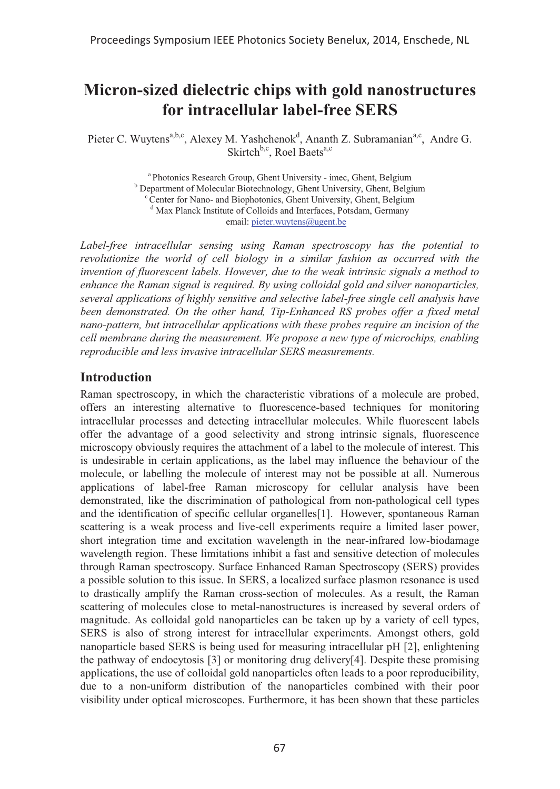# **Micron-sized dielectric chips with gold nanostructures for intracellular label-free SERS**

Pieter C. Wuytens<sup>a,b,c</sup>, Alexey M. Yashchenok<sup>d</sup>, Ananth Z. Subramanian<sup>a,c</sup>, Andre G. Skirtch $b,c$ , Roel Baets $a,c$ 

> <sup>a</sup> Photonics Research Group, Ghent University - imec, Ghent, Belgium <sup>b</sup> Department of Molecular Biotechnology, Ghent University, Ghent, Belgium <sup>c</sup> Center for Nano- and Biophotonics, Ghent University, Ghent, Belgium d Max Planck Institute of Colloids and Interfaces, Potsdam, Germany email: pieter.wuytens@ugent.be

*Label-free intracellular sensing using Raman spectroscopy has the potential to*  revolutionize the world of cell biology in a similar fashion as occurred with the *invention of fluorescent labels. However, due to the weak intrinsic signals a method to enhance the Raman signal is required. By using colloidal gold and silver nanoparticles, several applications of highly sensitive and selective label-free single cell analysis have been demonstrated. On the other hand, Tip-Enhanced RS probes offer a fixed metal nano-pattern, but intracellular applications with these probes require an incision of the cell membrane during the measurement. We propose a new type of microchips, enabling reproducible and less invasive intracellular SERS measurements.* 

#### **Introduction**

Raman spectroscopy, in which the characteristic vibrations of a molecule are probed, offers an interesting alternative to fluorescence-based techniques for monitoring intracellular processes and detecting intracellular molecules. While fluorescent labels offer the advantage of a good selectivity and strong intrinsic signals, fluorescence microscopy obviously requires the attachment of a label to the molecule of interest. This is undesirable in certain applications, as the label may influence the behaviour of the molecule, or labelling the molecule of interest may not be possible at all. Numerous applications of label-free Raman microscopy for cellular analysis have been demonstrated, like the discrimination of pathological from non-pathological cell types and the identification of specific cellular organelles[1]. However, spontaneous Raman scattering is a weak process and live-cell experiments require a limited laser power, short integration time and excitation wavelength in the near-infrared low-biodamage wavelength region. These limitations inhibit a fast and sensitive detection of molecules through Raman spectroscopy. Surface Enhanced Raman Spectroscopy (SERS) provides a possible solution to this issue. In SERS, a localized surface plasmon resonance is used to drastically amplify the Raman cross-section of molecules. As a result, the Raman scattering of molecules close to metal-nanostructures is increased by several orders of magnitude. As colloidal gold nanoparticles can be taken up by a variety of cell types, SERS is also of strong interest for intracellular experiments. Amongst others, gold nanoparticle based SERS is being used for measuring intracellular pH [2], enlightening the pathway of endocytosis [3] or monitoring drug delivery[4]. Despite these promising applications, the use of colloidal gold nanoparticles often leads to a poor reproducibility, due to a non-uniform distribution of the nanoparticles combined with their poor visibility under optical microscopes. Furthermore, it has been shown that these particles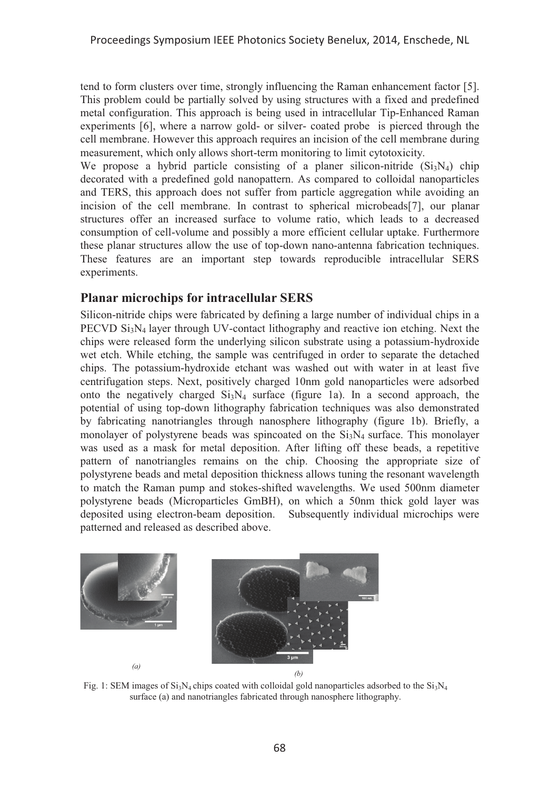tend to form clusters over time, strongly influencing the Raman enhancement factor [5]. This problem could be partially solved by using structures with a fixed and predefined metal configuration. This approach is being used in intracellular Tip-Enhanced Raman experiments [6], where a narrow gold- or silver- coated probe is pierced through the cell membrane. However this approach requires an incision of the cell membrane during measurement, which only allows short-term monitoring to limit cytotoxicity.

We propose a hybrid particle consisting of a planer silicon-nitride  $(Si<sub>3</sub>N<sub>4</sub>)$  chip decorated with a predefined gold nanopattern. As compared to colloidal nanoparticles and TERS, this approach does not suffer from particle aggregation while avoiding an incision of the cell membrane. In contrast to spherical microbeads[7], our planar structures offer an increased surface to volume ratio, which leads to a decreased consumption of cell-volume and possibly a more efficient cellular uptake. Furthermore these planar structures allow the use of top-down nano-antenna fabrication techniques. These features are an important step towards reproducible intracellular SERS experiments.

# **Planar microchips for intracellular SERS**

Silicon-nitride chips were fabricated by defining a large number of individual chips in a PECVD Si<sub>3</sub>N<sub>4</sub> layer through UV-contact lithography and reactive ion etching. Next the chips were released form the underlying silicon substrate using a potassium-hydroxide wet etch. While etching, the sample was centrifuged in order to separate the detached chips. The potassium-hydroxide etchant was washed out with water in at least five centrifugation steps. Next, positively charged 10nm gold nanoparticles were adsorbed onto the negatively charged  $Si<sub>3</sub>N<sub>4</sub>$  surface (figure 1a). In a second approach, the potential of using top-down lithography fabrication techniques was also demonstrated by fabricating nanotriangles through nanosphere lithography (figure 1b). Briefly, a monolayer of polystyrene beads was spincoated on the  $Si<sub>3</sub>N<sub>4</sub>$  surface. This monolayer was used as a mask for metal deposition. After lifting off these beads, a repetitive pattern of nanotriangles remains on the chip. Choosing the appropriate size of polystyrene beads and metal deposition thickness allows tuning the resonant wavelength to match the Raman pump and stokes-shifted wavelengths. We used 500nm diameter polystyrene beads (Microparticles GmBH), on which a 50nm thick gold layer was deposited using electron-beam deposition. Subsequently individual microchips were patterned and released as described above.



Fig. 1: SEM images of  $Si_3N_4$  chips coated with colloidal gold nanoparticles adsorbed to the  $Si_3N_4$ surface (a) and nanotriangles fabricated through nanosphere lithography.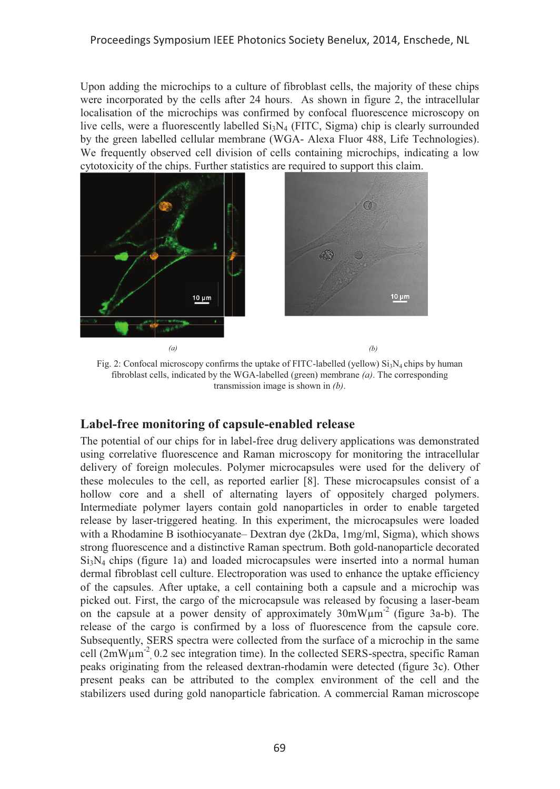Upon adding the microchips to a culture of fibroblast cells, the majority of these chips were incorporated by the cells after 24 hours. As shown in figure 2, the intracellular localisation of the microchips was confirmed by confocal fluorescence microscopy on live cells, were a fluorescently labelled  $Si<sub>3</sub>N<sub>4</sub>$  (FITC, Sigma) chip is clearly surrounded by the green labelled cellular membrane (WGA- Alexa Fluor 488, Life Technologies). We frequently observed cell division of cells containing microchips, indicating a low cytotoxicity of the chips. Further statistics are required to support this claim.



Fig. 2: Confocal microscopy confirms the uptake of FITC-labelled (yellow)  $Si<sub>3</sub>N<sub>4</sub>$  chips by human fibroblast cells, indicated by the WGA-labelled (green) membrane *(a)*. The corresponding transmission image is shown in *(b)*.

# **Label-free monitoring of capsule-enabled release**

The potential of our chips for in label-free drug delivery applications was demonstrated using correlative fluorescence and Raman microscopy for monitoring the intracellular delivery of foreign molecules. Polymer microcapsules were used for the delivery of these molecules to the cell, as reported earlier [8]. These microcapsules consist of a hollow core and a shell of alternating layers of oppositely charged polymers. Intermediate polymer layers contain gold nanoparticles in order to enable targeted release by laser-triggered heating. In this experiment, the microcapsules were loaded with a Rhodamine B isothiocyanate– Dextran dye (2kDa, 1mg/ml, Sigma), which shows strong fluorescence and a distinctive Raman spectrum. Both gold-nanoparticle decorated  $Si<sub>3</sub>N<sub>4</sub>$  chips (figure 1a) and loaded microcapsules were inserted into a normal human dermal fibroblast cell culture. Electroporation was used to enhance the uptake efficiency of the capsules. After uptake, a cell containing both a capsule and a microchip was picked out. First, the cargo of the microcapsule was released by focusing a laser-beam on the capsule at a power density of approximately  $30 \text{mW} \mu \text{m}^{-2}$  (figure 3a-b). The release of the cargo is confirmed by a loss of fluorescence from the capsule core. Subsequently, SERS spectra were collected from the surface of a microchip in the same cell  $(2mW\mu m^2)$ , 0.2 sec integration time). In the collected SERS-spectra, specific Raman peaks originating from the released dextran-rhodamin were detected (figure 3c). Other present peaks can be attributed to the complex environment of the cell and the stabilizers used during gold nanoparticle fabrication. A commercial Raman microscope